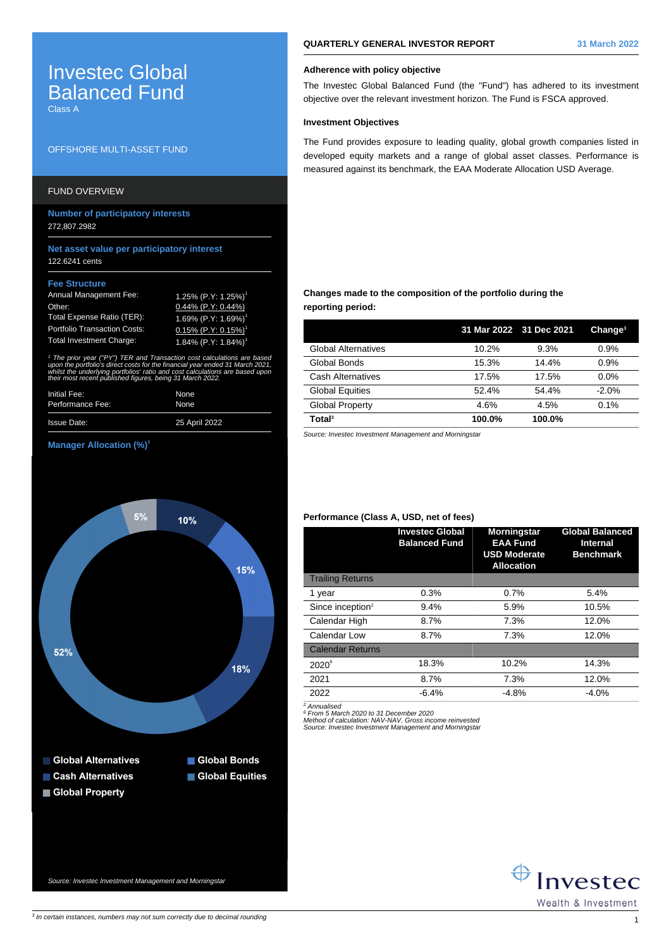# Investec Global Balanced Fund

Class A

## OFFSHORE MULTI-ASSET FUND

# FUND OVERVIEW

**Number of participatory interests** 272,807.2982

## **Net asset value per participatory interest** 122.6241 cents

#### **Fee Structure**

| <b>Annual Management Fee:</b>       | 1.25% (P.Y: 1.25%) <sup>1</sup>    |
|-------------------------------------|------------------------------------|
| Other:                              | $0.44\%$ (P.Y: 0.44%)              |
| Total Expense Ratio (TER):          | 1.69% (P.Y: 1.69%) <sup>1</sup>    |
| <b>Portfolio Transaction Costs:</b> | $0.15\%$ (P.Y: 0.15%) <sup>1</sup> |
| <b>Total Investment Charge:</b>     | $1.84\%$ (P.Y: 1.84%) <sup>1</sup> |

1 The prior year ("PY") TER and Transaction cost calculations are based upon the portfolio's direct costs for the financial year ended 31 March 2021, whilst the underlying portfolios' ratio and cost calculations are based upor. their most recent published figures, being 31 March 2022.

| Initial Fee:       | None          |
|--------------------|---------------|
| Performance Fee:   | None          |
| <b>Issue Date:</b> | 25 April 2022 |

#### **Manager Allocation (%)<sup>3</sup>**



**QUARTERLY GENERAL INVESTOR REPORT 31 March 2022**

#### **Adherence with policy objective**

The Investec Global Balanced Fund (the "Fund") has adhered to its investment objective over the relevant investment horizon. The Fund is FSCA approved.

## **Investment Objectives**

The Fund provides exposure to leading quality, global growth companies listed in developed equity markets and a range of global asset classes. Performance is measured against its benchmark, the EAA Moderate Allocation USD Average.

## **Changes made to the composition of the portfolio during the reporting period:**

|                            | 31 Mar 2022 31 Dec 2021 |        | Change <sup>3</sup> |
|----------------------------|-------------------------|--------|---------------------|
| <b>Global Alternatives</b> | 10.2%                   | 9.3%   | 0.9%                |
| Global Bonds               | 15.3%                   | 14.4%  | 0.9%                |
| Cash Alternatives          | 17.5%                   | 17.5%  | $0.0\%$             |
| <b>Global Equities</b>     | 52.4%                   | 54.4%  | $-2.0%$             |
| <b>Global Property</b>     | 4.6%                    | 4.5%   | 0.1%                |
| Total <sup>3</sup>         | 100.0%                  | 100.0% |                     |

Source: Investec Investment Management and Morningstar

## **Performance (Class A, USD, net of fees)**

|                              | <b>Investec Global</b><br><b>Balanced Fund</b> | <b>Morningstar</b><br><b>EAA Fund</b><br><b>USD Moderate</b><br><b>Allocation</b> | <b>Global Balanced</b><br><b>Internal</b><br><b>Benchmark</b> |
|------------------------------|------------------------------------------------|-----------------------------------------------------------------------------------|---------------------------------------------------------------|
| <b>Trailing Returns</b>      |                                                |                                                                                   |                                                               |
| 1 year                       | 0.3%                                           | 0.7%                                                                              | 5.4%                                                          |
| Since inception <sup>2</sup> | 9.4%                                           | 5.9%                                                                              | 10.5%                                                         |
| Calendar High                | 8.7%                                           | 7.3%                                                                              | 12.0%                                                         |
| Calendar Low                 | 8.7%                                           | 7.3%                                                                              | 12.0%                                                         |
| <b>Calendar Returns</b>      |                                                |                                                                                   |                                                               |
| $2020^6$                     | 18.3%                                          | 10.2%                                                                             | 14.3%                                                         |
| 2021                         | 8.7%                                           | 7.3%                                                                              | 12.0%                                                         |
| 2022                         | $-6.4%$                                        | $-4.8%$                                                                           | $-4.0%$                                                       |
|                              |                                                |                                                                                   |                                                               |

<sup>2</sup> Annualised<br><sup>6</sup> From 5 March 2020 to 31 December 2020<br>Method of calculation: NAV-NAV. Gross income reinvested<br>Source: Investec Investment Management and Morningstal